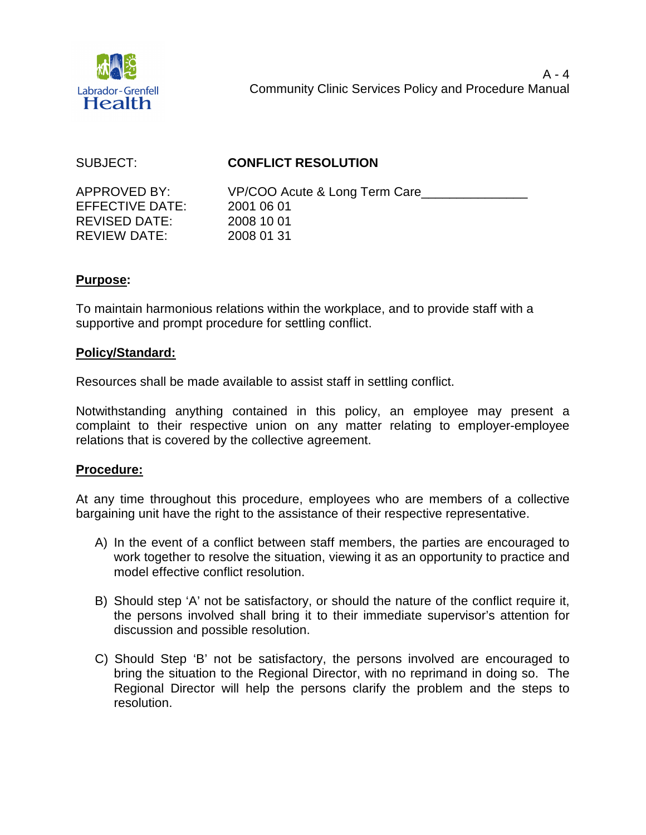

# SUBJECT: **CONFLICT RESOLUTION**

EFFECTIVE DATE: 2001 06 01 REVISED DATE: 2008 10 01 REVIEW DATE: 2008 01 31

APPROVED BY: VP/COO Acute & Long Term Care

#### **Purpose:**

To maintain harmonious relations within the workplace, and to provide staff with a supportive and prompt procedure for settling conflict.

## **Policy/Standard:**

Resources shall be made available to assist staff in settling conflict.

Notwithstanding anything contained in this policy, an employee may present a complaint to their respective union on any matter relating to employer-employee relations that is covered by the collective agreement.

## **Procedure:**

At any time throughout this procedure, employees who are members of a collective bargaining unit have the right to the assistance of their respective representative.

- A) In the event of a conflict between staff members, the parties are encouraged to work together to resolve the situation, viewing it as an opportunity to practice and model effective conflict resolution.
- B) Should step 'A' not be satisfactory, or should the nature of the conflict require it, the persons involved shall bring it to their immediate supervisor's attention for discussion and possible resolution.
- C) Should Step 'B' not be satisfactory, the persons involved are encouraged to bring the situation to the Regional Director, with no reprimand in doing so. The Regional Director will help the persons clarify the problem and the steps to resolution.